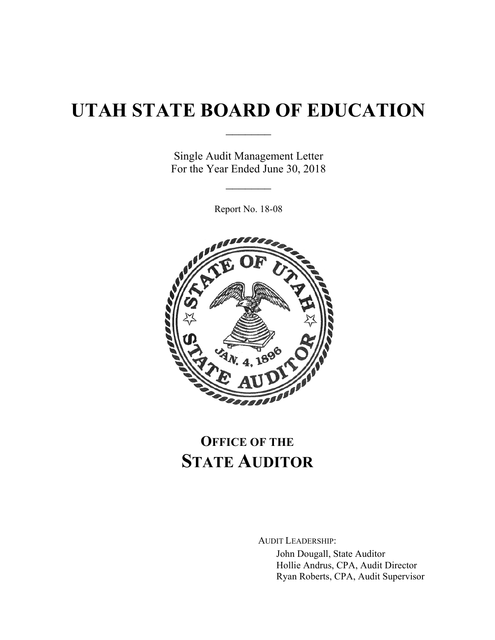# **UTAH STATE BOARD OF EDUCATION**

 $\frac{1}{2}$ 

Single Audit Management Letter For the Year Ended June 30, 2018

 $\frac{1}{2}$ 

Report No. 18-08



## **OFFICE OF THE STATE AUDITOR**

AUDIT LEADERSHIP:

John Dougall, State Auditor Hollie Andrus, CPA, Audit Director Ryan Roberts, CPA, Audit Supervisor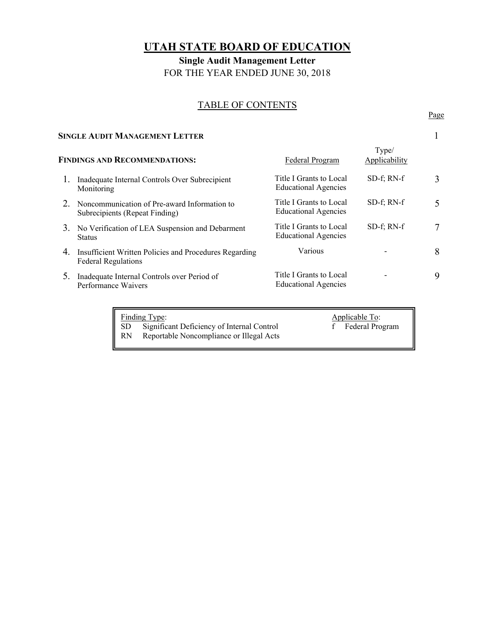### **UTAH STATE BOARD OF EDUCATION**

**Single Audit Management Letter**  FOR THE YEAR ENDED JUNE 30, 2018

## TABLE OF CONTENTS Page

|                                      | <b>SINGLE AUDIT MANAGEMENT LETTER</b>                                                |                                                        |                        |   |  |
|--------------------------------------|--------------------------------------------------------------------------------------|--------------------------------------------------------|------------------------|---|--|
| <b>FINDINGS AND RECOMMENDATIONS:</b> |                                                                                      | Federal Program                                        | Type/<br>Applicability |   |  |
|                                      | Inadequate Internal Controls Over Subrecipient<br>Monitoring                         | Title I Grants to Local<br><b>Educational Agencies</b> | $SD-f$ ; RN- $f$       | 3 |  |
| 2.                                   | Noncommunication of Pre-award Information to<br>Subrecipients (Repeat Finding)       | Title I Grants to Local<br><b>Educational Agencies</b> | $SD-f$ ; RN- $f$       | 5 |  |
| 3.                                   | No Verification of LEA Suspension and Debarment<br><b>Status</b>                     | Title I Grants to Local<br><b>Educational Agencies</b> | $SD-f$ ; RN- $f$       | 7 |  |
| 4.                                   | Insufficient Written Policies and Procedures Regarding<br><b>Federal Regulations</b> | Various                                                |                        | 8 |  |
| 5.                                   | Inadequate Internal Controls over Period of<br>Performance Waivers                   | Title I Grants to Local<br><b>Educational Agencies</b> |                        | 9 |  |
|                                      |                                                                                      |                                                        |                        |   |  |

|     | Finding Type:                              | Applicable To:    |
|-----|--------------------------------------------|-------------------|
| SD. | Significant Deficiency of Internal Control | f Federal Program |
| RN  | Reportable Noncompliance or Illegal Acts   |                   |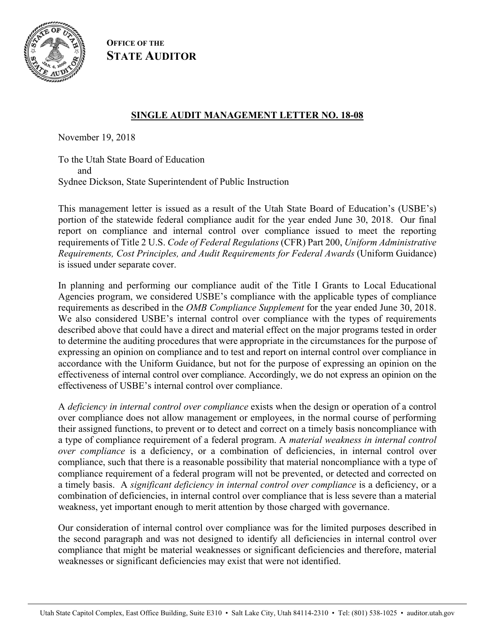

**OFFICE OF THE STATE AUDITOR**

#### **SINGLE AUDIT MANAGEMENT LETTER NO. 18-08**

November 19, 2018

To the Utah State Board of Education and Sydnee Dickson, State Superintendent of Public Instruction

This management letter is issued as a result of the Utah State Board of Education's (USBE's) portion of the statewide federal compliance audit for the year ended June 30, 2018. Our final report on compliance and internal control over compliance issued to meet the reporting requirements of Title 2 U.S. *Code of Federal Regulations* (CFR) Part 200, *Uniform Administrative Requirements, Cost Principles, and Audit Requirements for Federal Awards* (Uniform Guidance) is issued under separate cover.

In planning and performing our compliance audit of the Title I Grants to Local Educational Agencies program, we considered USBE's compliance with the applicable types of compliance requirements as described in the *OMB Compliance Supplement* for the year ended June 30, 2018. We also considered USBE's internal control over compliance with the types of requirements described above that could have a direct and material effect on the major programs tested in order to determine the auditing procedures that were appropriate in the circumstances for the purpose of expressing an opinion on compliance and to test and report on internal control over compliance in accordance with the Uniform Guidance, but not for the purpose of expressing an opinion on the effectiveness of internal control over compliance. Accordingly, we do not express an opinion on the effectiveness of USBE's internal control over compliance.

A *deficiency in internal control over compliance* exists when the design or operation of a control over compliance does not allow management or employees, in the normal course of performing their assigned functions, to prevent or to detect and correct on a timely basis noncompliance with a type of compliance requirement of a federal program. A *material weakness in internal control over compliance* is a deficiency, or a combination of deficiencies, in internal control over compliance, such that there is a reasonable possibility that material noncompliance with a type of compliance requirement of a federal program will not be prevented, or detected and corrected on a timely basis. A *significant deficiency in internal control over compliance* is a deficiency, or a combination of deficiencies, in internal control over compliance that is less severe than a material weakness, yet important enough to merit attention by those charged with governance.

Our consideration of internal control over compliance was for the limited purposes described in the second paragraph and was not designed to identify all deficiencies in internal control over compliance that might be material weaknesses or significant deficiencies and therefore, material weaknesses or significant deficiencies may exist that were not identified.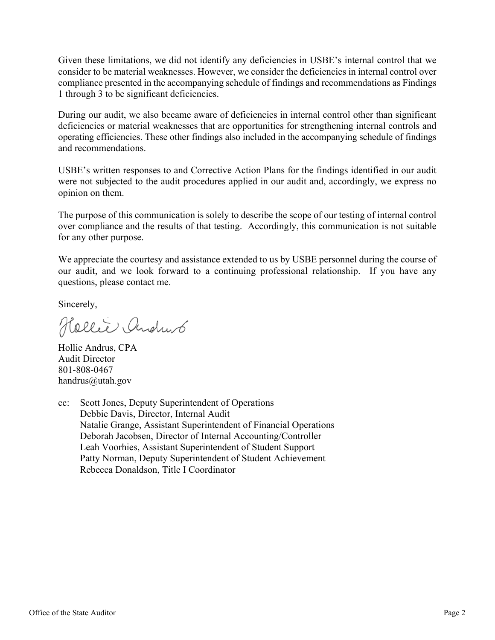Given these limitations, we did not identify any deficiencies in USBE's internal control that we consider to be material weaknesses. However, we consider the deficiencies in internal control over compliance presented in the accompanying schedule of findings and recommendations as Findings 1 through 3 to be significant deficiencies.

During our audit, we also became aware of deficiencies in internal control other than significant deficiencies or material weaknesses that are opportunities for strengthening internal controls and operating efficiencies. These other findings also included in the accompanying schedule of findings and recommendations.

USBE's written responses to and Corrective Action Plans for the findings identified in our audit were not subjected to the audit procedures applied in our audit and, accordingly, we express no opinion on them.

The purpose of this communication is solely to describe the scope of our testing of internal control over compliance and the results of that testing. Accordingly, this communication is not suitable for any other purpose.

We appreciate the courtesy and assistance extended to us by USBE personnel during the course of our audit, and we look forward to a continuing professional relationship. If you have any questions, please contact me.

Sincerely,

Hellie Andrub

Hollie Andrus, CPA Audit Director 801-808-0467 handrus@utah.gov

cc: Scott Jones, Deputy Superintendent of Operations Debbie Davis, Director, Internal Audit Natalie Grange, Assistant Superintendent of Financial Operations Deborah Jacobsen, Director of Internal Accounting/Controller Leah Voorhies, Assistant Superintendent of Student Support Patty Norman, Deputy Superintendent of Student Achievement Rebecca Donaldson, Title I Coordinator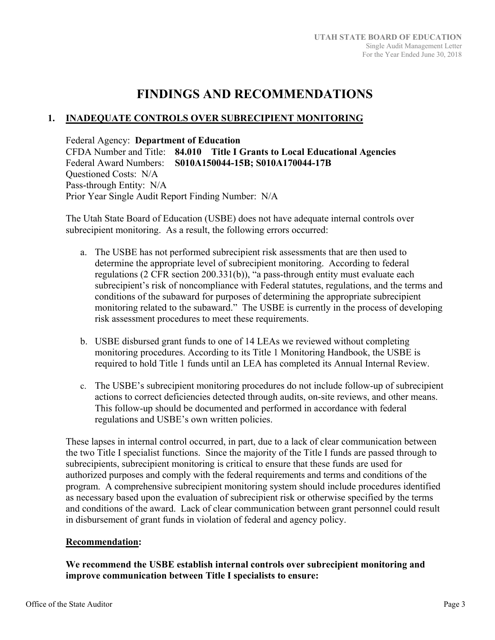### **FINDINGS AND RECOMMENDATIONS**

#### **1. INADEQUATE CONTROLS OVER SUBRECIPIENT MONITORING**

Federal Agency: **Department of Education** 

CFDA Number and Title: **84.010 Title I Grants to Local Educational Agencies**  Federal Award Numbers: **S010A150044-15B; S010A170044-17B**  Questioned Costs: N/A Pass-through Entity: N/A Prior Year Single Audit Report Finding Number: N/A

The Utah State Board of Education (USBE) does not have adequate internal controls over subrecipient monitoring. As a result, the following errors occurred:

- a. The USBE has not performed subrecipient risk assessments that are then used to determine the appropriate level of subrecipient monitoring. According to federal regulations (2 CFR section 200.331(b)), "a pass-through entity must evaluate each subrecipient's risk of noncompliance with Federal statutes, regulations, and the terms and conditions of the subaward for purposes of determining the appropriate subrecipient monitoring related to the subaward." The USBE is currently in the process of developing risk assessment procedures to meet these requirements.
- b. USBE disbursed grant funds to one of 14 LEAs we reviewed without completing monitoring procedures. According to its Title 1 Monitoring Handbook, the USBE is required to hold Title 1 funds until an LEA has completed its Annual Internal Review.
- c. The USBE's subrecipient monitoring procedures do not include follow-up of subrecipient actions to correct deficiencies detected through audits, on-site reviews, and other means. This follow-up should be documented and performed in accordance with federal regulations and USBE's own written policies.

These lapses in internal control occurred, in part, due to a lack of clear communication between the two Title I specialist functions. Since the majority of the Title I funds are passed through to subrecipients, subrecipient monitoring is critical to ensure that these funds are used for authorized purposes and comply with the federal requirements and terms and conditions of the program. A comprehensive subrecipient monitoring system should include procedures identified as necessary based upon the evaluation of subrecipient risk or otherwise specified by the terms and conditions of the award. Lack of clear communication between grant personnel could result in disbursement of grant funds in violation of federal and agency policy.

#### **Recommendation:**

#### **We recommend the USBE establish internal controls over subrecipient monitoring and improve communication between Title I specialists to ensure:**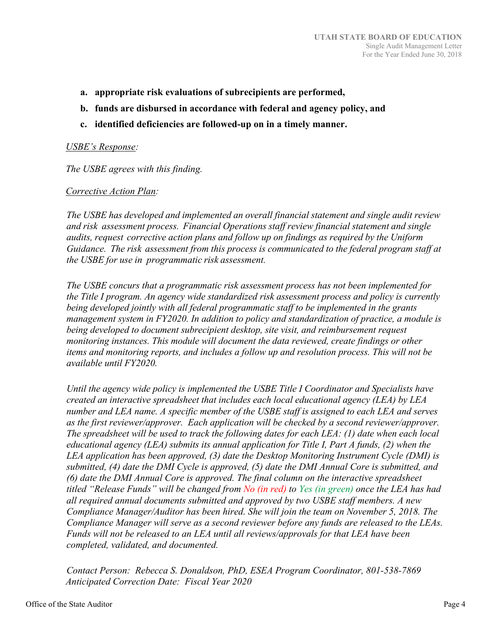- **a. appropriate risk evaluations of subrecipients are performed,**
- **b. funds are disbursed in accordance with federal and agency policy, and**
- **c. identified deficiencies are followed-up on in a timely manner.**

#### *USBE's Response:*

*The USBE agrees with this finding.* 

#### *Corrective Action Plan:*

*The USBE has developed and implemented an overall financial statement and single audit review and risk assessment process. Financial Operations staff review financial statement and single audits, request corrective action plans and follow up on findings as required by the Uniform Guidance. The risk assessment from this process is communicated to the federal program staff at the USBE for use in programmatic risk assessment.* 

*The USBE concurs that a programmatic risk assessment process has not been implemented for the Title I program. An agency wide standardized risk assessment process and policy is currently being developed jointly with all federal programmatic staff to be implemented in the grants management system in FY2020. In addition to policy and standardization of practice, a module is being developed to document subrecipient desktop, site visit, and reimbursement request monitoring instances. This module will document the data reviewed, create findings or other items and monitoring reports, and includes a follow up and resolution process. This will not be available until FY2020.* 

*Until the agency wide policy is implemented the USBE Title I Coordinator and Specialists have created an interactive spreadsheet that includes each local educational agency (LEA) by LEA number and LEA name. A specific member of the USBE staff is assigned to each LEA and serves as the first reviewer/approver. Each application will be checked by a second reviewer/approver. The spreadsheet will be used to track the following dates for each LEA: (1) date when each local educational agency (LEA) submits its annual application for Title I, Part A funds, (2) when the LEA application has been approved, (3) date the Desktop Monitoring Instrument Cycle (DMI) is submitted, (4) date the DMI Cycle is approved, (5) date the DMI Annual Core is submitted, and (6) date the DMI Annual Core is approved. The final column on the interactive spreadsheet titled "Release Funds" will be changed from No (in red) to Yes (in green) once the LEA has had all required annual documents submitted and approved by two USBE staff members. A new Compliance Manager/Auditor has been hired. She will join the team on November 5, 2018. The Compliance Manager will serve as a second reviewer before any funds are released to the LEAs. Funds will not be released to an LEA until all reviews/approvals for that LEA have been completed, validated, and documented.* 

*Contact Person: Rebecca S. Donaldson, PhD, ESEA Program Coordinator, 801‐538‐7869 Anticipated Correction Date: Fiscal Year 2020*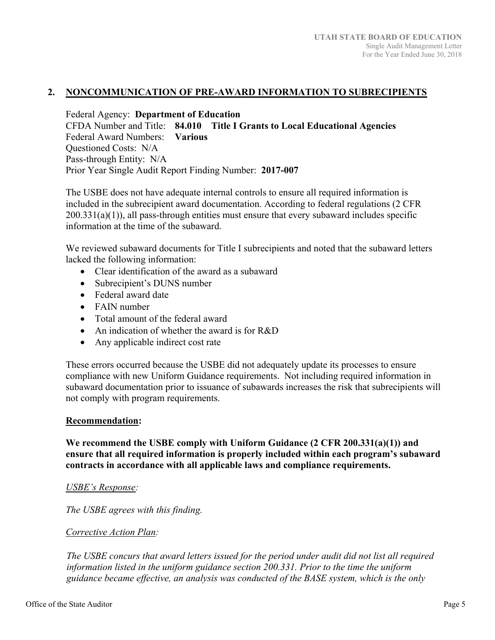#### **2. NONCOMMUNICATION OF PRE-AWARD INFORMATION TO SUBRECIPIENTS**

Federal Agency: **Department of Education**  CFDA Number and Title: **84.010 Title I Grants to Local Educational Agencies**  Federal Award Numbers: **Various**  Questioned Costs: N/A Pass-through Entity: N/A Prior Year Single Audit Report Finding Number: **2017-007**

The USBE does not have adequate internal controls to ensure all required information is included in the subrecipient award documentation. According to federal regulations (2 CFR  $200.331(a)(1)$ , all pass-through entities must ensure that every subaward includes specific information at the time of the subaward.

We reviewed subaward documents for Title I subrecipients and noted that the subaward letters lacked the following information:

- Clear identification of the award as a subaward
- Subrecipient's DUNS number
- Federal award date
- FAIN number
- Total amount of the federal award
- An indication of whether the award is for R&D
- Any applicable indirect cost rate

These errors occurred because the USBE did not adequately update its processes to ensure compliance with new Uniform Guidance requirements. Not including required information in subaward documentation prior to issuance of subawards increases the risk that subrecipients will not comply with program requirements.

#### **Recommendation:**

**We recommend the USBE comply with Uniform Guidance (2 CFR 200.331(a)(1)) and ensure that all required information is properly included within each program's subaward contracts in accordance with all applicable laws and compliance requirements.** 

#### *USBE's Response:*

*The USBE agrees with this finding.* 

#### *Corrective Action Plan:*

*The USBE concurs that award letters issued for the period under audit did not list all required information listed in the uniform guidance section 200.331. Prior to the time the uniform guidance became effective, an analysis was conducted of the BASE system, which is the only*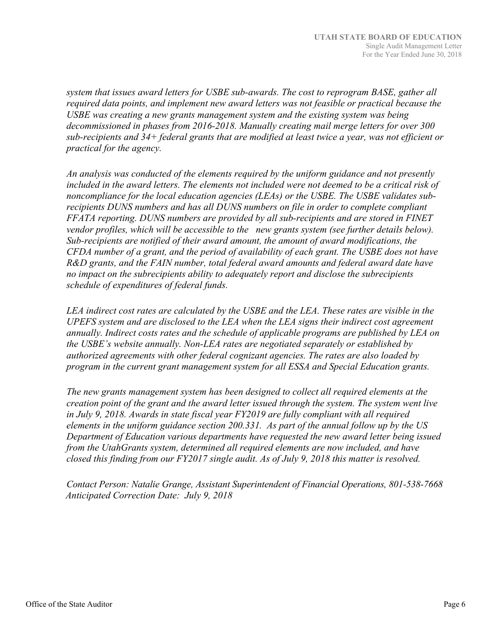*system that issues award letters for USBE sub‐awards. The cost to reprogram BASE, gather all required data points, and implement new award letters was not feasible or practical because the USBE was creating a new grants management system and the existing system was being decommissioned in phases from 2016‐2018. Manually creating mail merge letters for over 300 sub‐recipients and 34+ federal grants that are modified at least twice a year, was not efficient or practical for the agency.* 

*An analysis was conducted of the elements required by the uniform guidance and not presently included in the award letters. The elements not included were not deemed to be a critical risk of noncompliance for the local education agencies (LEAs) or the USBE. The USBE validates sub‐ recipients DUNS numbers and has all DUNS numbers on file in order to complete compliant FFATA reporting. DUNS numbers are provided by all sub‐recipients and are stored in FINET vendor profiles, which will be accessible to the new grants system (see further details below). Sub‐recipients are notified of their award amount, the amount of award modifications, the CFDA number of a grant, and the period of availability of each grant. The USBE does not have R&D grants, and the FAIN number, total federal award amounts and federal award date have no impact on the subrecipients ability to adequately report and disclose the subrecipients schedule of expenditures of federal funds.* 

*LEA indirect cost rates are calculated by the USBE and the LEA. These rates are visible in the UPEFS system and are disclosed to the LEA when the LEA signs their indirect cost agreement annually. Indirect costs rates and the schedule of applicable programs are published by LEA on the USBE's website annually. Non‐LEA rates are negotiated separately or established by authorized agreements with other federal cognizant agencies. The rates are also loaded by program in the current grant management system for all ESSA and Special Education grants.* 

*The new grants management system has been designed to collect all required elements at the creation point of the grant and the award letter issued through the system. The system went live in July 9, 2018. Awards in state fiscal year FY2019 are fully compliant with all required elements in the uniform guidance section 200.331. As part of the annual follow up by the US Department of Education various departments have requested the new award letter being issued from the UtahGrants system, determined all required elements are now included, and have closed this finding from our FY2017 single audit. As of July 9, 2018 this matter is resolved.* 

*Contact Person: Natalie Grange, Assistant Superintendent of Financial Operations, 801‐538‐7668 Anticipated Correction Date: July 9, 2018*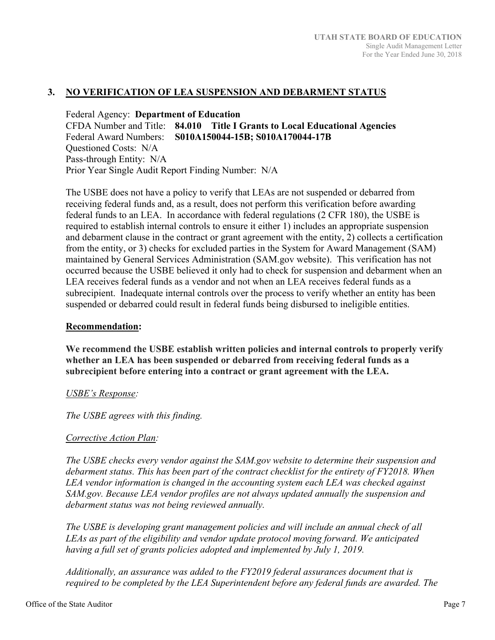#### **3. NO VERIFICATION OF LEA SUSPENSION AND DEBARMENT STATUS**

Federal Agency: **Department of Education**  CFDA Number and Title: **84.010 Title I Grants to Local Educational Agencies**  Federal Award Numbers: **S010A150044-15B; S010A170044-17B**  Questioned Costs: N/A Pass-through Entity: N/A Prior Year Single Audit Report Finding Number: N/A

The USBE does not have a policy to verify that LEAs are not suspended or debarred from receiving federal funds and, as a result, does not perform this verification before awarding federal funds to an LEA. In accordance with federal regulations (2 CFR 180), the USBE is required to establish internal controls to ensure it either 1) includes an appropriate suspension and debarment clause in the contract or grant agreement with the entity, 2) collects a certification from the entity, or 3) checks for excluded parties in the System for Award Management (SAM) maintained by General Services Administration (SAM.gov website). This verification has not occurred because the USBE believed it only had to check for suspension and debarment when an LEA receives federal funds as a vendor and not when an LEA receives federal funds as a subrecipient. Inadequate internal controls over the process to verify whether an entity has been suspended or debarred could result in federal funds being disbursed to ineligible entities.

#### **Recommendation:**

**We recommend the USBE establish written policies and internal controls to properly verify whether an LEA has been suspended or debarred from receiving federal funds as a subrecipient before entering into a contract or grant agreement with the LEA.** 

#### *USBE's Response:*

*The USBE agrees with this finding.* 

#### *Corrective Action Plan:*

*The USBE checks every vendor against the SAM.gov website to determine their suspension and debarment status. This has been part of the contract checklist for the entirety of FY2018. When LEA vendor information is changed in the accounting system each LEA was checked against SAM.gov. Because LEA vendor profiles are not always updated annually the suspension and debarment status was not being reviewed annually.* 

*The USBE is developing grant management policies and will include an annual check of all LEAs as part of the eligibility and vendor update protocol moving forward. We anticipated*  having a full set of grants policies adopted and implemented by July 1, 2019.

*Additionally, an assurance was added to the FY2019 federal assurances document that is required to be completed by the LEA Superintendent before any federal funds are awarded. The*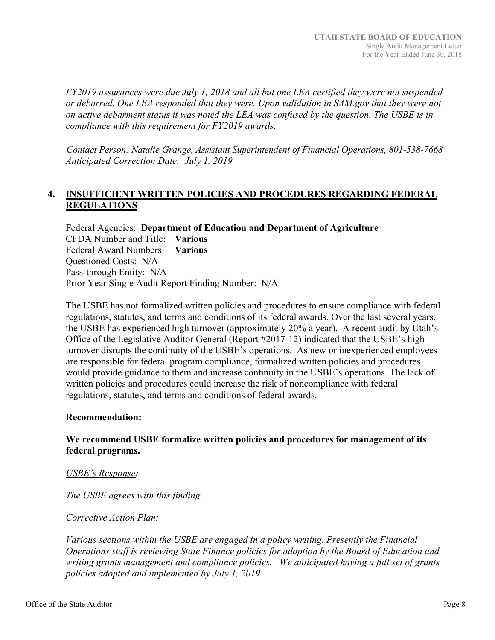*FY2019 assurances were due July 1, 2018 and all but one LEA certified they were not suspended or debarred. One LEA responded that they were. Upon validation in SAM.gov that they were not on active debarment status it was noted the LEA was confused by the question. The USBE is in compliance with this requirement for FY2019 awards.* 

*Contact Person: Natalie Grange, Assistant Superintendent of Financial Operations, 801‐538‐7668 Anticipated Correction Date: July 1, 2019* 

#### **4. INSUFFICIENT WRITTEN POLICIES AND PROCEDURES REGARDING FEDERAL REGULATIONS**

Federal Agencies: **Department of Education and Department of Agriculture**  CFDA Number and Title: **Various**  Federal Award Numbers: **Various**  Questioned Costs: N/A Pass-through Entity: N/A Prior Year Single Audit Report Finding Number: N/A

The USBE has not formalized written policies and procedures to ensure compliance with federal regulations, statutes, and terms and conditions of its federal awards. Over the last several years, the USBE has experienced high turnover (approximately 20% a year). A recent audit by Utah's Office of the Legislative Auditor General (Report #2017-12) indicated that the USBE's high turnover disrupts the continuity of the USBE's operations. As new or inexperienced employees are responsible for federal program compliance, formalized written policies and procedures would provide guidance to them and increase continuity in the USBE's operations. The lack of written policies and procedures could increase the risk of noncompliance with federal regulations, statutes, and terms and conditions of federal awards.

#### **Recommendation:**

#### **We recommend USBE formalize written policies and procedures for management of its federal programs.**

#### *USBE's Response:*

*The USBE agrees with this finding.* 

#### *Corrective Action Plan:*

*Various sections within the USBE are engaged in a policy writing. Presently the Financial Operations staff is reviewing State Finance policies for adoption by the Board of Education and writing grants management and compliance policies. We anticipated having a full set of grants policies adopted and implemented by July 1, 2019.*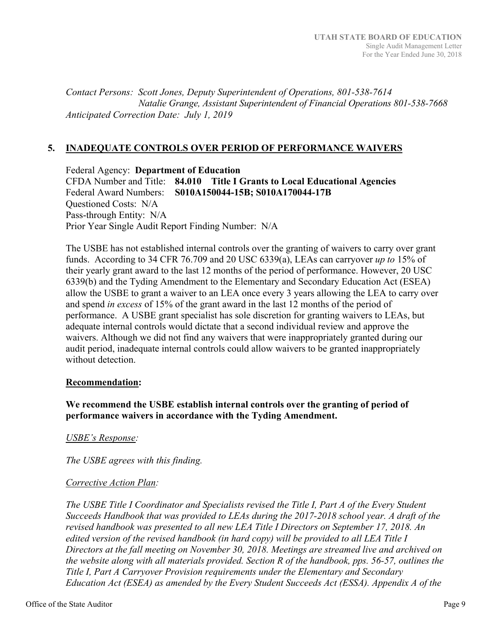*Contact Persons: Scott Jones, Deputy Superintendent of Operations, 801‐538‐7614 Natalie Grange, Assistant Superintendent of Financial Operations 801‐538‐7668 Anticipated Correction Date: July 1, 2019* 

#### **5. INADEQUATE CONTROLS OVER PERIOD OF PERFORMANCE WAIVERS**

Federal Agency: **Department of Education**  CFDA Number and Title: **84.010 Title I Grants to Local Educational Agencies**  Federal Award Numbers: **S010A150044-15B; S010A170044-17B**  Questioned Costs: N/A Pass-through Entity: N/A Prior Year Single Audit Report Finding Number: N/A

The USBE has not established internal controls over the granting of waivers to carry over grant funds. According to 34 CFR 76.709 and 20 USC 6339(a), LEAs can carryover *up to* 15% of their yearly grant award to the last 12 months of the period of performance. However, 20 USC 6339(b) and the Tyding Amendment to the Elementary and Secondary Education Act (ESEA) allow the USBE to grant a waiver to an LEA once every 3 years allowing the LEA to carry over and spend *in excess* of 15% of the grant award in the last 12 months of the period of performance. A USBE grant specialist has sole discretion for granting waivers to LEAs, but adequate internal controls would dictate that a second individual review and approve the waivers. Although we did not find any waivers that were inappropriately granted during our audit period, inadequate internal controls could allow waivers to be granted inappropriately without detection.

#### **Recommendation:**

#### **We recommend the USBE establish internal controls over the granting of period of performance waivers in accordance with the Tyding Amendment.**

#### *USBE's Response:*

*The USBE agrees with this finding.* 

#### *Corrective Action Plan:*

*The USBE Title I Coordinator and Specialists revised the Title I, Part A of the Every Student Succeeds Handbook that was provided to LEAs during the 2017‐2018 school year. A draft of the revised handbook was presented to all new LEA Title I Directors on September 17, 2018. An edited version of the revised handbook (in hard copy) will be provided to all LEA Title I Directors at the fall meeting on November 30, 2018. Meetings are streamed live and archived on the website along with all materials provided. Section R of the handbook, pps. 56‐57, outlines the Title I, Part A Carryover Provision requirements under the Elementary and Secondary Education Act (ESEA) as amended by the Every Student Succeeds Act (ESSA). Appendix A of the*